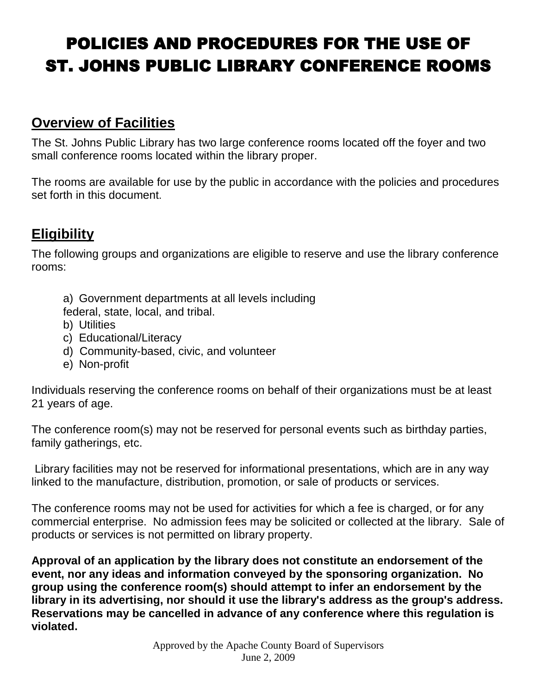# POLICIES AND PROCEDURES FOR THE USE OF ST. JOHNS PUBLIC LIBRARY CONFERENCE ROOMS

## **Overview of Facilities**

The St. Johns Public Library has two large conference rooms located off the foyer and two small conference rooms located within the library proper.

The rooms are available for use by the public in accordance with the policies and procedures set forth in this document.

## **Eligibility**

The following groups and organizations are eligible to reserve and use the library conference rooms:

a) Government departments at all levels including

federal, state, local, and tribal.

- b) Utilities
- c) Educational/Literacy
- d) Community-based, civic, and volunteer
- e) Non-profit

Individuals reserving the conference rooms on behalf of their organizations must be at least 21 years of age.

The conference room(s) may not be reserved for personal events such as birthday parties, family gatherings, etc.

Library facilities may not be reserved for informational presentations, which are in any way linked to the manufacture, distribution, promotion, or sale of products or services.

The conference rooms may not be used for activities for which a fee is charged, or for any commercial enterprise. No admission fees may be solicited or collected at the library. Sale of products or services is not permitted on library property.

**Approval of an application by the library does not constitute an endorsement of the event, nor any ideas and information conveyed by the sponsoring organization. No group using the conference room(s) should attempt to infer an endorsement by the library in its advertising, nor should it use the library's address as the group's address. Reservations may be cancelled in advance of any conference where this regulation is violated.**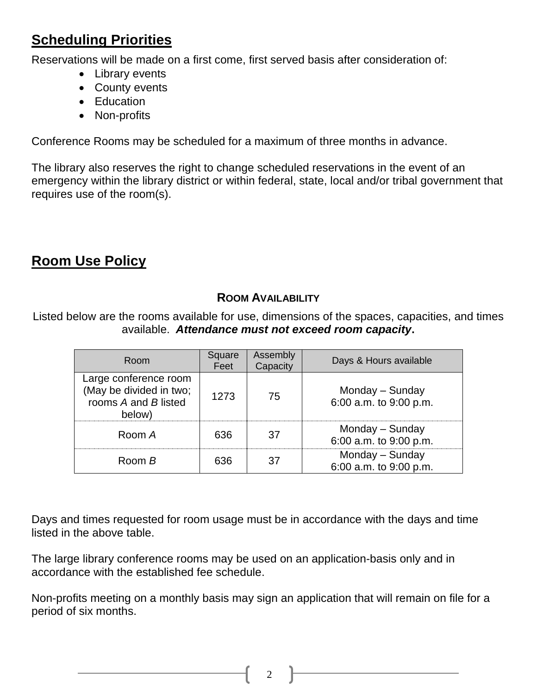## **Scheduling Priorities**

Reservations will be made on a first come, first served basis after consideration of:

- Library events
- County events
- Education
- Non-profits

Conference Rooms may be scheduled for a maximum of three months in advance.

The library also reserves the right to change scheduled reservations in the event of an emergency within the library district or within federal, state, local and/or tribal government that requires use of the room(s).

## **Room Use Policy**

## **ROOM AVAILABILITY**

Listed below are the rooms available for use, dimensions of the spaces, capacities, and times available. *Attendance must not exceed room capacity***.**

| Room                                                                               | Square<br>Feet | Assembly<br>Capacity | Days & Hours available                    |
|------------------------------------------------------------------------------------|----------------|----------------------|-------------------------------------------|
| Large conference room<br>(May be divided in two;<br>rooms A and B listed<br>below) | 1273           | 75                   | Monday – Sunday<br>6:00 a.m. to 9:00 p.m. |
| Room A                                                                             | 636            | .37                  | Monday – Sunday<br>6:00 a.m. to 9:00 p.m. |
| Room B                                                                             | 636            | 37                   | Monday - Sunday<br>6:00 a.m. to 9:00 p.m. |

Days and times requested for room usage must be in accordance with the days and time listed in the above table.

The large library conference rooms may be used on an application-basis only and in accordance with the established fee schedule.

Non-profits meeting on a monthly basis may sign an application that will remain on file for a period of six months.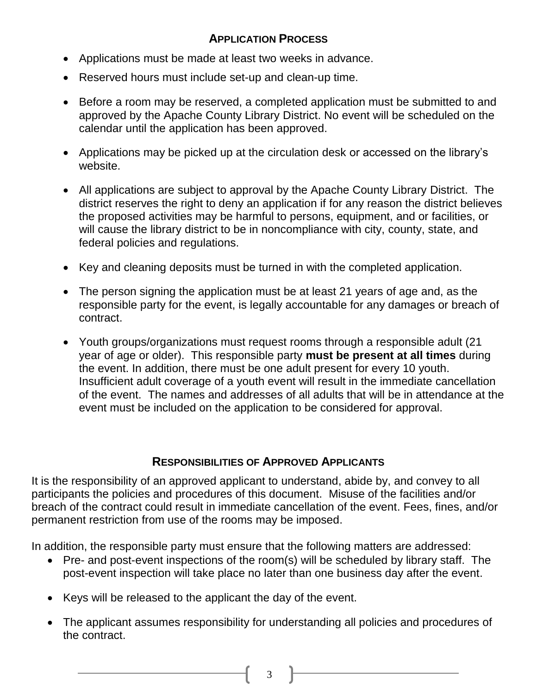## **APPLICATION PROCESS**

- Applications must be made at least two weeks in advance.
- Reserved hours must include set-up and clean-up time.
- Before a room may be reserved, a completed application must be submitted to and approved by the Apache County Library District. No event will be scheduled on the calendar until the application has been approved.
- Applications may be picked up at the circulation desk or accessed on the library's website.
- All applications are subject to approval by the Apache County Library District. The district reserves the right to deny an application if for any reason the district believes the proposed activities may be harmful to persons, equipment, and or facilities, or will cause the library district to be in noncompliance with city, county, state, and federal policies and regulations.
- Key and cleaning deposits must be turned in with the completed application.
- The person signing the application must be at least 21 years of age and, as the responsible party for the event, is legally accountable for any damages or breach of contract.
- Youth groups/organizations must request rooms through a responsible adult (21 year of age or older). This responsible party **must be present at all times** during the event. In addition, there must be one adult present for every 10 youth. Insufficient adult coverage of a youth event will result in the immediate cancellation of the event. The names and addresses of all adults that will be in attendance at the event must be included on the application to be considered for approval.

#### **RESPONSIBILITIES OF APPROVED APPLICANTS**

It is the responsibility of an approved applicant to understand, abide by, and convey to all participants the policies and procedures of this document. Misuse of the facilities and/or breach of the contract could result in immediate cancellation of the event. Fees, fines, and/or permanent restriction from use of the rooms may be imposed.

In addition, the responsible party must ensure that the following matters are addressed:

- Pre- and post-event inspections of the room(s) will be scheduled by library staff. The post-event inspection will take place no later than one business day after the event.
- Keys will be released to the applicant the day of the event.
- The applicant assumes responsibility for understanding all policies and procedures of the contract.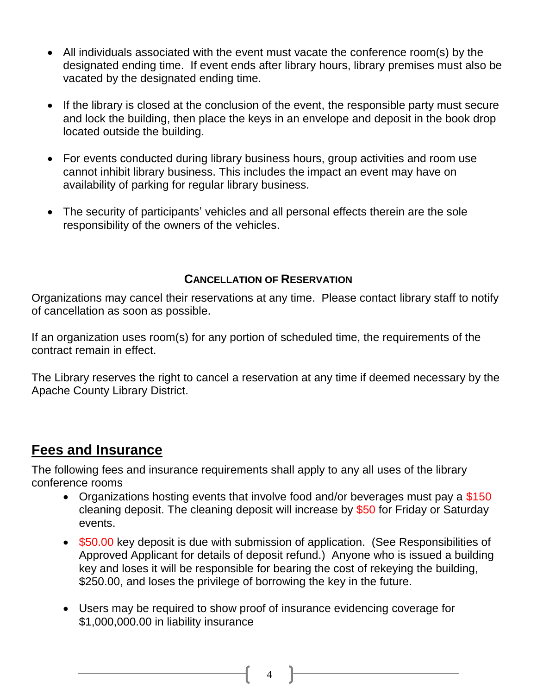- All individuals associated with the event must vacate the conference room(s) by the designated ending time. If event ends after library hours, library premises must also be vacated by the designated ending time.
- If the library is closed at the conclusion of the event, the responsible party must secure and lock the building, then place the keys in an envelope and deposit in the book drop located outside the building.
- For events conducted during library business hours, group activities and room use cannot inhibit library business. This includes the impact an event may have on availability of parking for regular library business.
- The security of participants' vehicles and all personal effects therein are the sole responsibility of the owners of the vehicles.

## **CANCELLATION OF RESERVATION**

Organizations may cancel their reservations at any time. Please contact library staff to notify of cancellation as soon as possible.

If an organization uses room(s) for any portion of scheduled time, the requirements of the contract remain in effect.

The Library reserves the right to cancel a reservation at any time if deemed necessary by the Apache County Library District.

## **Fees and Insurance**

The following fees and insurance requirements shall apply to any all uses of the library conference rooms

- Organizations hosting events that involve food and/or beverages must pay a \$150 cleaning deposit. The cleaning deposit will increase by \$50 for Friday or Saturday events.
- \$50.00 key deposit is due with submission of application. (See Responsibilities of Approved Applicant for details of deposit refund.) Anyone who is issued a building key and loses it will be responsible for bearing the cost of rekeying the building, \$250.00, and loses the privilege of borrowing the key in the future.
- Users may be required to show proof of insurance evidencing coverage for \$1,000,000.00 in liability insurance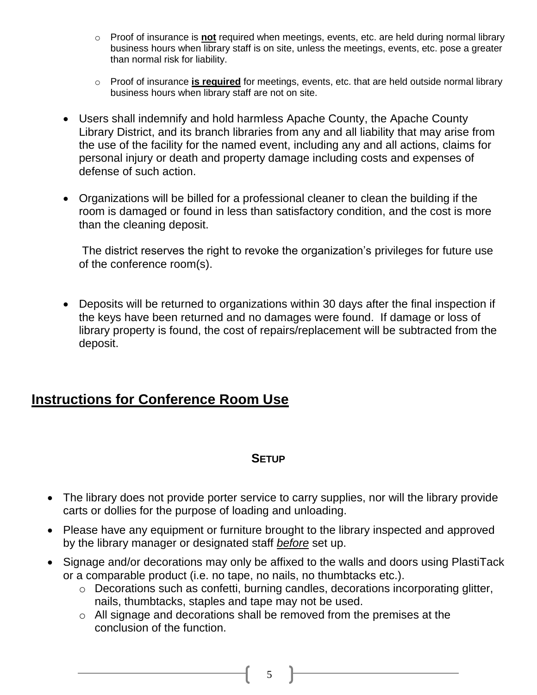- o Proof of insurance is **not** required when meetings, events, etc. are held during normal library business hours when library staff is on site, unless the meetings, events, etc. pose a greater than normal risk for liability.
- o Proof of insurance **is required** for meetings, events, etc. that are held outside normal library business hours when library staff are not on site.
- Users shall indemnify and hold harmless Apache County, the Apache County Library District, and its branch libraries from any and all liability that may arise from the use of the facility for the named event, including any and all actions, claims for personal injury or death and property damage including costs and expenses of defense of such action.
- Organizations will be billed for a professional cleaner to clean the building if the room is damaged or found in less than satisfactory condition, and the cost is more than the cleaning deposit.

The district reserves the right to revoke the organization's privileges for future use of the conference room(s).

 Deposits will be returned to organizations within 30 days after the final inspection if the keys have been returned and no damages were found. If damage or loss of library property is found, the cost of repairs/replacement will be subtracted from the deposit.

## **Instructions for Conference Room Use**

#### **SETUP**

- The library does not provide porter service to carry supplies, nor will the library provide carts or dollies for the purpose of loading and unloading.
- Please have any equipment or furniture brought to the library inspected and approved by the library manager or designated staff *before* set up.
- Signage and/or decorations may only be affixed to the walls and doors using PlastiTack or a comparable product (i.e. no tape, no nails, no thumbtacks etc.).
	- o Decorations such as confetti, burning candles, decorations incorporating glitter, nails, thumbtacks, staples and tape may not be used.
	- o All signage and decorations shall be removed from the premises at the conclusion of the function.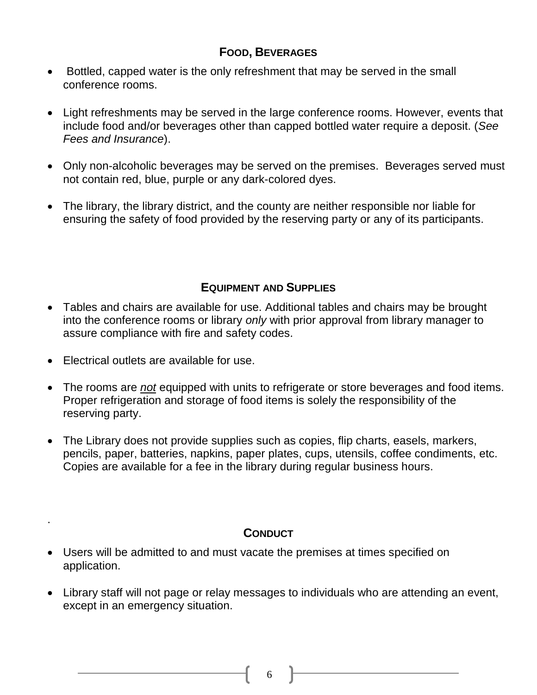## **FOOD, BEVERAGES**

- Bottled, capped water is the only refreshment that may be served in the small conference rooms.
- Light refreshments may be served in the large conference rooms. However, events that include food and/or beverages other than capped bottled water require a deposit. (*See Fees and Insurance*).
- Only non-alcoholic beverages may be served on the premises. Beverages served must not contain red, blue, purple or any dark-colored dyes.
- The library, the library district, and the county are neither responsible nor liable for ensuring the safety of food provided by the reserving party or any of its participants.

## **EQUIPMENT AND SUPPLIES**

- Tables and chairs are available for use. Additional tables and chairs may be brought into the conference rooms or library *only* with prior approval from library manager to assure compliance with fire and safety codes.
- Electrical outlets are available for use.

.

- The rooms are *not* equipped with units to refrigerate or store beverages and food items. Proper refrigeration and storage of food items is solely the responsibility of the reserving party.
- The Library does not provide supplies such as copies, flip charts, easels, markers, pencils, paper, batteries, napkins, paper plates, cups, utensils, coffee condiments, etc. Copies are available for a fee in the library during regular business hours.

## **CONDUCT**

- Users will be admitted to and must vacate the premises at times specified on application.
- Library staff will not page or relay messages to individuals who are attending an event, except in an emergency situation.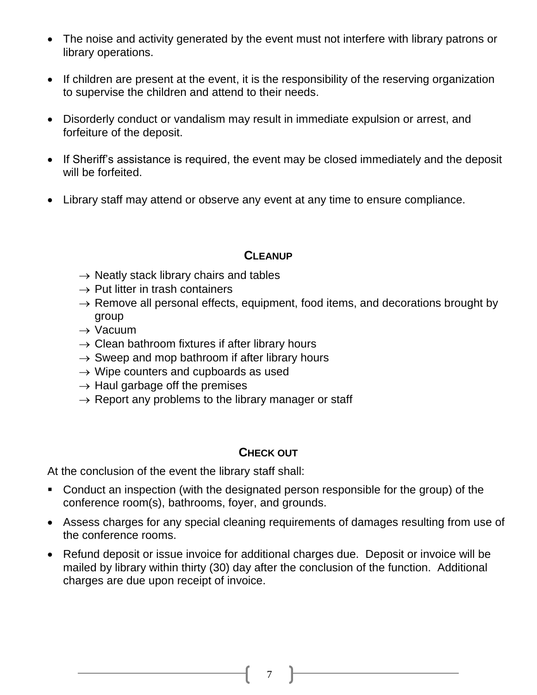- The noise and activity generated by the event must not interfere with library patrons or library operations.
- If children are present at the event, it is the responsibility of the reserving organization to supervise the children and attend to their needs.
- Disorderly conduct or vandalism may result in immediate expulsion or arrest, and forfeiture of the deposit.
- If Sheriff's assistance is required, the event may be closed immediately and the deposit will be forfeited.
- Library staff may attend or observe any event at any time to ensure compliance.

#### **CLEANUP**

- $\rightarrow$  Neatly stack library chairs and tables
- $\rightarrow$  Put litter in trash containers
- $\rightarrow$  Remove all personal effects, equipment, food items, and decorations brought by group
- $\rightarrow$  Vacuum
- $\rightarrow$  Clean bathroom fixtures if after library hours
- $\rightarrow$  Sweep and mop bathroom if after library hours
- $\rightarrow$  Wipe counters and cupboards as used
- $\rightarrow$  Haul garbage off the premises
- $\rightarrow$  Report any problems to the library manager or staff

## **CHECK OUT**

At the conclusion of the event the library staff shall:

- Conduct an inspection (with the designated person responsible for the group) of the conference room(s), bathrooms, foyer, and grounds.
- Assess charges for any special cleaning requirements of damages resulting from use of the conference rooms.
- Refund deposit or issue invoice for additional charges due. Deposit or invoice will be mailed by library within thirty (30) day after the conclusion of the function. Additional charges are due upon receipt of invoice.